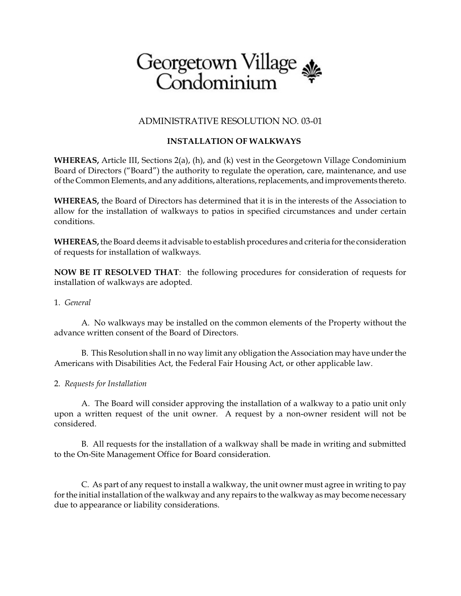# Georgetown Village

## ADMINISTRATIVE RESOLUTION NO. 03-01

# **INSTALLATION OF WALKWAYS**

**WHEREAS,** Article III, Sections 2(a), (h), and (k) vest in the Georgetown Village Condominium Board of Directors ("Board") the authority to regulate the operation, care, maintenance, and use of the Common Elements, and any additions, alterations, replacements, andimprovements thereto.

**WHEREAS,** the Board of Directors has determined that it is in the interests of the Association to allow for the installation of walkways to patios in specified circumstances and under certain conditions.

**WHEREAS,** the Board deems it advisable to establish procedures and criteria for the consideration of requests for installation of walkways.

**NOW BE IT RESOLVED THAT**: the following procedures for consideration of requests for installation of walkways are adopted.

#### 1. *General*

A. No walkways may be installed on the common elements of the Property without the advance written consent of the Board of Directors.

B. This Resolution shall in no way limit any obligation the Association may have under the Americans with Disabilities Act, the Federal Fair Housing Act, or other applicable law.

## 2. *Requests for Installation*

 A. The Board will consider approving the installation of a walkway to a patio unit only upon a written request of the unit owner. A request by a non-owner resident will not be considered.

B. All requests for the installation of a walkway shall be made in writing and submitted to the On-Site Management Office for Board consideration.

C. As part of any request to install a walkway, the unit owner must agree in writing to pay for the initial installation of the walkway and any repairs to the walkway as may become necessary due to appearance or liability considerations.